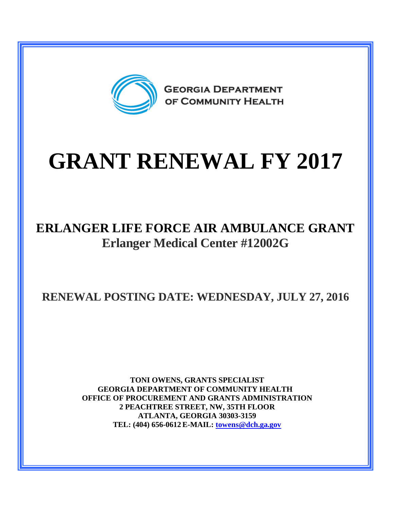

# **GRANT RENEWAL FY 2017**

## **ERLANGER LIFE FORCE AIR AMBULANCE GRANT Erlanger Medical Center #12002G**

**RENEWAL POSTING DATE: WEDNESDAY, JULY 27, 2016**

**TONI OWENS, GRANTS SPECIALIST GEORGIA DEPARTMENT OF COMMUNITY HEALTH OFFICE OF PROCUREMENT AND GRANTS ADMINISTRATION 2 PEACHTREE STREET, NW, 35TH FLOOR ATLANTA, GEORGIA 30303-3159 TEL: (404) 656-0612 E-MAIL: [towens@dch.ga.gov](mailto:towens@dch.ga.gov)**